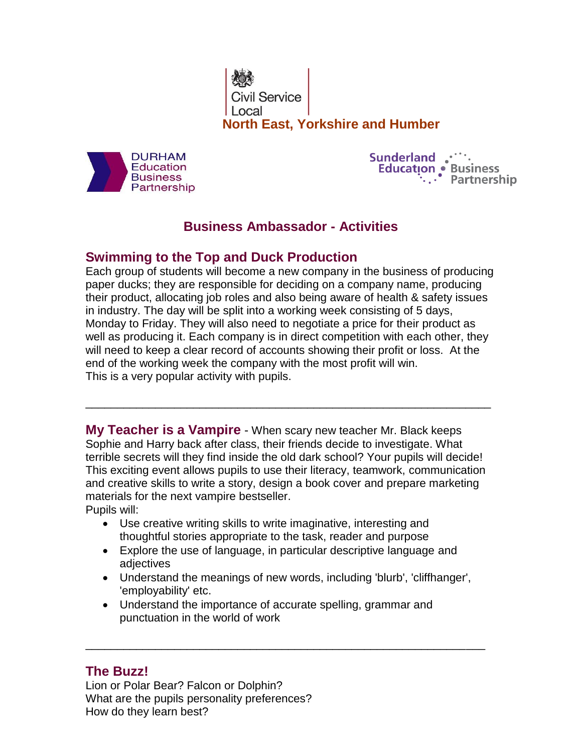Civil Service **North East, Yorkshire and Humber**



**Sunderland Similary** Education • Business<br>
:... Partnership

# **Business Ambassador - Activities**

## **Swimming to the Top and Duck Production**

Each group of students will become a new company in the business of producing paper ducks; they are responsible for deciding on a company name, producing their product, allocating job roles and also being aware of health & safety issues in industry. The day will be split into a working week consisting of 5 days, Monday to Friday. They will also need to negotiate a price for their product as well as producing it. Each company is in direct competition with each other, they will need to keep a clear record of accounts showing their profit or loss. At the end of the working week the company with the most profit will win. This is a very popular activity with pupils.

**My Teacher is a Vampire** - When scary new teacher Mr. Black keeps Sophie and Harry back after class, their friends decide to investigate. What terrible secrets will they find inside the old dark school? Your pupils will decide! This exciting event allows pupils to use their literacy, teamwork, communication and creative skills to write a story, design a book cover and prepare marketing materials for the next vampire bestseller.

\_\_\_\_\_\_\_\_\_\_\_\_\_\_\_\_\_\_\_\_\_\_\_\_\_\_\_\_\_\_\_\_\_\_\_\_\_\_\_\_\_\_\_\_\_\_\_\_\_\_\_\_\_\_\_\_\_\_\_\_\_\_\_\_

Pupils will:

- Use creative writing skills to write imaginative, interesting and thoughtful stories appropriate to the task, reader and purpose
- Explore the use of language, in particular descriptive language and adjectives
- Understand the meanings of new words, including 'blurb', 'cliffhanger', 'employability' etc.

\_\_\_\_\_\_\_\_\_\_\_\_\_\_\_\_\_\_\_\_\_\_\_\_\_\_\_\_\_\_\_\_\_\_\_\_\_\_\_\_\_\_\_\_\_\_\_\_\_\_\_\_\_\_\_\_\_\_\_\_\_\_\_

 Understand the importance of accurate spelling, grammar and punctuation in the world of work

### **The Buzz!**

Lion or Polar Bear? Falcon or Dolphin? What are the pupils personality preferences? How do they learn best?